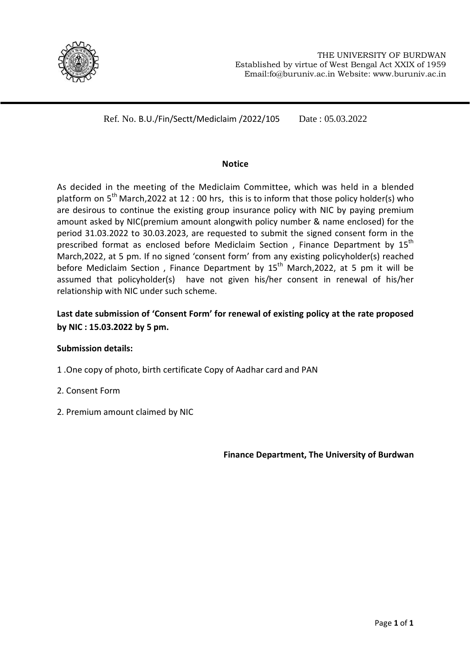

Ref. No. B.U./Fin/Sectt/Mediclaim /2022/105 Date : 05.03.2022

## **Notice**

As decided in the meeting of the Mediclaim Committee, which was held in a blended platform on  $5<sup>th</sup>$  March,2022 at 12 : 00 hrs, this is to inform that those policy holder(s) who are desirous to continue the existing group insurance policy with NIC by paying premium amount asked by NIC(premium amount alongwith policy number & name enclosed) for the period 31.03.2022 to 30.03.2023, are requested to submit the signed consent form in the prescribed format as enclosed before Mediclaim Section, Finance Department by 15<sup>th</sup> March,2022, at 5 pm. If no signed 'consent form' from any existing policyholder(s) reached before Mediclaim Section, Finance Department by  $15<sup>th</sup>$  March, 2022, at 5 pm it will be assumed that policyholder(s) have not given his/her consent in renewal of his/her relationship with NIC under such scheme.

# **Last date submission of 'Consent Form' for renewal of existing policy at the rate proposed by NIC : 15.03.2022 by 5 pm.**

## **Submission details:**

- 1 .One copy of photo, birth certificate Copy of Aadhar card and PAN
- 2. Consent Form
- 2. Premium amount claimed by NIC

**Finance Department, The University of Burdwan**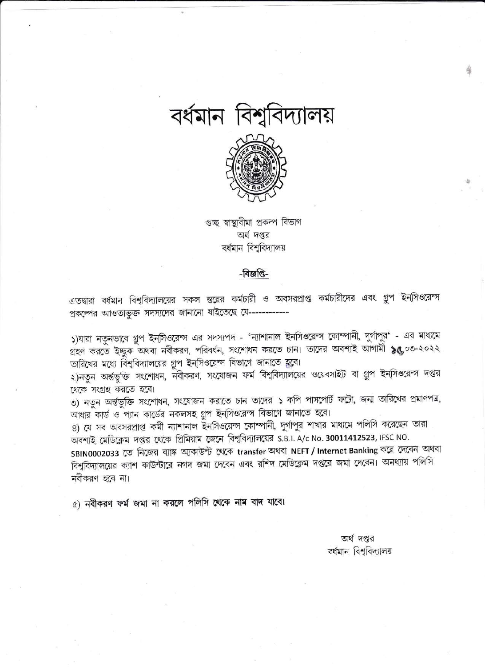



গুচ্ছ স্বাস্থ্যবীমা প্ৰকল্প বিভাগ অর্থ দপ্তর বর্ধমান বিশ্ববিদ্যালয়

## -বিজ্ঞপ্তি-

এতদ্বারা বর্ধমান বিশুবিদ্যালয়ের সকল স্তরের কর্মচারী ও অবসরপ্রাপ্ত কর্মচারীদের এবং গ্রুপ ইন্সিওরেন্স প্রকল্পের আওতাভুক্ত সদস্যদের জানানো যাইতেছে যে------------

১)যারা নতুনভাবে গ্রুপ ইন্সিওরেন্স এর সদস্যপদ - 'ন্যাশানাল ইনসিওরেন্স কোম্পানী, দুর্গাপুর' - এর মাধ্যমে গ্রহণ করতে ইচ্ছুক অথবা নবীকরণ, পরিবর্ধন, সংশোধন করতে চান। তাদের অবশ্যই আগামী ১৫,০৩-২০২২ তারিখের মধ্যে বিশ্ববিদ্যালয়ের গ্রুপ ইনসিওরেন্স বিভাগে জানাতে হুবে।

২)নতুন অর্ন্তভুক্তি সংশোধন, নবীকরণ, সংযোজন ফর্ম বিশ্ববিদ্যালয়ের ওয়েবসাইট বা গ্রুপ ইন্সিওরেন্স দপ্তর থেকে সংগ্রহ করতে হবে।

৩) নতুন অৰ্ন্তভুক্তি সংশোধন, সংযোজন করাতে চান তাদের ১ কপি পাসপোর্ট ফটো, জন্ম তারিখের প্রমাণপত্র, আধার কার্ড ও প্যান কার্ডের নকলসহ গ্রুপ ইন্সিওরেন্স বিভাগে জানাতে হবে।

৪) যে সব অবসরপ্রাপ্ত কর্মী ন্যাশানাল ইনসিওরেন্স কোম্পানী, দুর্গাপুর শাখার মাধ্যমে পলিসি করেছেন তারা অবশ্যই মেডিক্লেম দপ্তর থেকে প্রিমিয়াম জেনে বিশ্ববিদ্যালয়ের S.B.I. A/c No. 30011412523, IFSC NO.

SBIN0002033 তে নিজের ব্যাঙ্ক অ্যকাউন্ট থেকে transfer অথবা NEFT / Internet Banking করে দেবেন অথবা বিশুবিদ্যালয়ের ক্যাশ কাউন্টারে নগদ জমা দেবেন এবং রশিদ মেডিক্লেম দপ্তরে জমা দেবেন। অনথ্যায় পলিসি নবীকরণ হবে না।

৫) নবীকরণ ফর্ম জমা না করলে পলিসি থেকে নাম বাদ যাবে।

অর্থ দপ্তর বর্ধমান বিশুবিদ্যালয়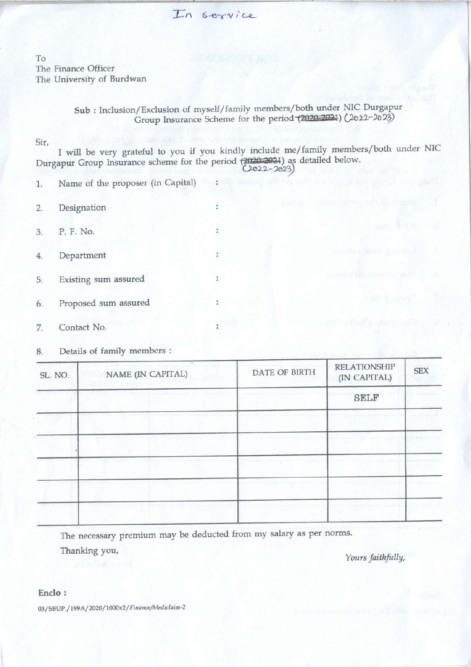In service

To The Finance Officer The University of Burdwan

> Sub : Inclusion/Exclusion of myself/family members/both under NIC Durgapur Group Insurance Scheme for the period (2020-2021) (2022-2023)

Sir,

I will be very grateful to you if you kindly include me/family members/both under NIC Durgapur Group Insurance scheme for the period (2020-2021) as detailed below.

t

ł

ł.

¥

- 1. Name of the proposer (in Capital)
- 2. Designation
- 3. P. F. No.
- 4. Department
- 5. Existing sum assured
- 6. Proposed sum assured
- 7. Contact No.
- 8. Details of family members :

| SL. NO. | $\sim$<br>NAME (IN CAPITAL) | DATE OF BIRTH | <b>RELATIONSHIP</b><br>(IN CAPITAL) | <b>SEX</b> |
|---------|-----------------------------|---------------|-------------------------------------|------------|
|         |                             |               | <b>SELF</b>                         |            |
|         |                             |               |                                     |            |
|         |                             |               |                                     |            |
|         |                             |               |                                     |            |
|         |                             |               |                                     |            |
|         |                             |               |                                     |            |

The necessary premium may be deducted from my salary as per norms.

Thanking you,

Yours faithfully,

### Enclo :

03/SBUP./199A/2020/1000x2/ Finance/Mediclaim-2